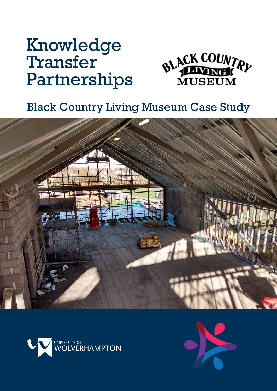# Knowledge Transfer Partnerships



# Black Country Living Museum Case Study